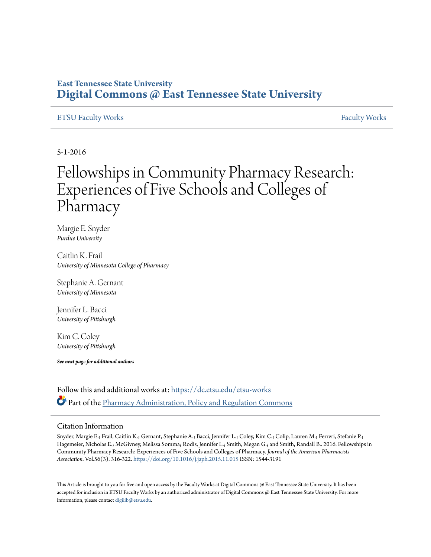### **East Tennessee State University [Digital Commons @ East Tennessee State University](https://dc.etsu.edu?utm_source=dc.etsu.edu%2Fetsu-works%2F1479&utm_medium=PDF&utm_campaign=PDFCoverPages)**

#### [ETSU Faculty Works](https://dc.etsu.edu/etsu-works?utm_source=dc.etsu.edu%2Fetsu-works%2F1479&utm_medium=PDF&utm_campaign=PDFCoverPages) [Faculty Works](https://dc.etsu.edu/faculty-works?utm_source=dc.etsu.edu%2Fetsu-works%2F1479&utm_medium=PDF&utm_campaign=PDFCoverPages) Faculty Works Faculty Works Faculty Works Faculty Works Faculty Works Faculty Works Faculty Morks Faculty Morks Faculty Morks Faculty Morks Faculty Morks Faculty Morks Faculty Morks Faculty

5-1-2016

## Fellowships in Community Pharmacy Research: Experiences of Five Schools and Colleges of **Pharmacy**

Margie E. Snyder *Purdue University*

Caitlin K. Frail *University of Minnesota College of Pharmacy*

Stephanie A. Gernant *University of Minnesota*

Jennifer L. Bacci *University of Pittsburgh*

Kim C. Coley *University of Pittsburgh*

*See next page for additional authors*

Follow this and additional works at: [https://dc.etsu.edu/etsu-works](https://dc.etsu.edu/etsu-works?utm_source=dc.etsu.edu%2Fetsu-works%2F1479&utm_medium=PDF&utm_campaign=PDFCoverPages) Part of the [Pharmacy Administration, Policy and Regulation Commons](http://network.bepress.com/hgg/discipline/732?utm_source=dc.etsu.edu%2Fetsu-works%2F1479&utm_medium=PDF&utm_campaign=PDFCoverPages)

#### Citation Information

Snyder, Margie E.; Frail, Caitlin K.; Gernant, Stephanie A.; Bacci, Jennifer L.; Coley, Kim C.; Colip, Lauren M.; Ferreri, Stefanie P.; Hagemeier, Nicholas E.; McGivney, Melissa Somma; Rodis, Jennifer L.; Smith, Megan G.; and Smith, Randall B.. 2016. Fellowships in Community Pharmacy Research: Experiences of Five Schools and Colleges of Pharmacy. *Journal of the American Pharmacists Association*. Vol.56(3). 316-322. <https://doi.org/10.1016/j.japh.2015.11.015> ISSN: 1544-3191

This Article is brought to you for free and open access by the Faculty Works at Digital Commons @ East Tennessee State University. It has been accepted for inclusion in ETSU Faculty Works by an authorized administrator of Digital Commons @ East Tennessee State University. For more information, please contact [digilib@etsu.edu.](mailto:digilib@etsu.edu)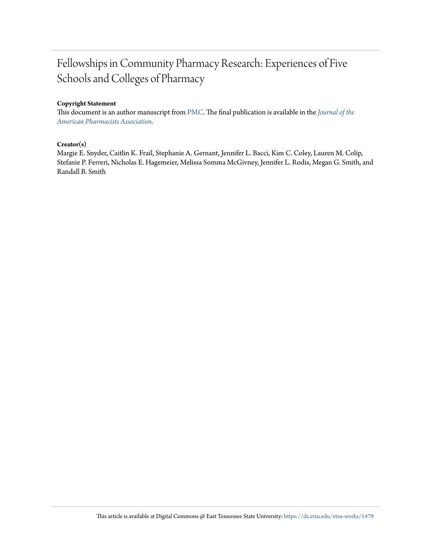## Fellowships in Community Pharmacy Research: Experiences of Five Schools and Colleges of Pharmacy

#### **Copyright Statement**

This document is an author manuscript from [PMC.](https://www.ncbi.nlm.nih.gov/pmc/articles/PMC5536970/) The final publication is available in the *[Journal of the](https://doi.org/10.1016/j.japh.2015.11.015) [American Pharmacists Association.](https://doi.org/10.1016/j.japh.2015.11.015)*

#### **Creator(s)**

Margie E. Snyder, Caitlin K. Frail, Stephanie A. Gernant, Jennifer L. Bacci, Kim C. Coley, Lauren M. Colip, Stefanie P. Ferreri, Nicholas E. Hagemeier, Melissa Somma McGivney, Jennifer L. Rodis, Megan G. Smith, and Randall B. Smith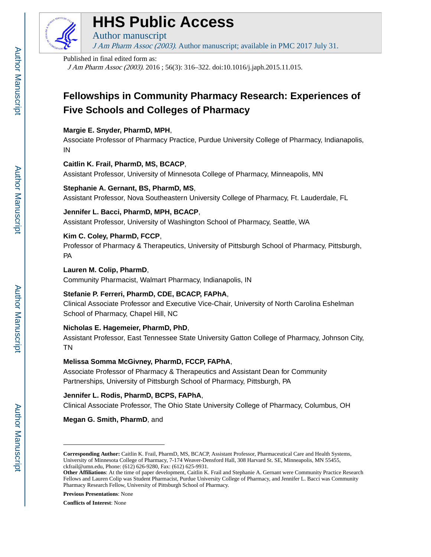

## **HHS Public Access**

Author manuscript J Am Pharm Assoc (2003). Author manuscript; available in PMC 2017 July 31.

#### Published in final edited form as:

J Am Pharm Assoc (2003). 2016 ; 56(3): 316–322. doi:10.1016/j.japh.2015.11.015.

## **Fellowships in Community Pharmacy Research: Experiences of Five Schools and Colleges of Pharmacy**

#### **Margie E. Snyder, PharmD, MPH**,

Associate Professor of Pharmacy Practice, Purdue University College of Pharmacy, Indianapolis, IN

#### **Caitlin K. Frail, PharmD, MS, BCACP**,

Assistant Professor, University of Minnesota College of Pharmacy, Minneapolis, MN

#### **Stephanie A. Gernant, BS, PharmD, MS**,

Assistant Professor, Nova Southeastern University College of Pharmacy, Ft. Lauderdale, FL

#### **Jennifer L. Bacci, PharmD, MPH, BCACP**,

Assistant Professor, University of Washington School of Pharmacy, Seattle, WA

#### **Kim C. Coley, PharmD, FCCP**,

Professor of Pharmacy & Therapeutics, University of Pittsburgh School of Pharmacy, Pittsburgh, PA

#### **Lauren M. Colip, PharmD**,

Community Pharmacist, Walmart Pharmacy, Indianapolis, IN

#### **Stefanie P. Ferreri, PharmD, CDE, BCACP, FAPhA**,

Clinical Associate Professor and Executive Vice-Chair, University of North Carolina Eshelman School of Pharmacy, Chapel Hill, NC

#### **Nicholas E. Hagemeier, PharmD, PhD**,

Assistant Professor, East Tennessee State University Gatton College of Pharmacy, Johnson City, TN

#### **Melissa Somma McGivney, PharmD, FCCP, FAPhA**,

Associate Professor of Pharmacy & Therapeutics and Assistant Dean for Community Partnerships, University of Pittsburgh School of Pharmacy, Pittsburgh, PA

#### **Jennifer L. Rodis, PharmD, BCPS, FAPhA**,

Clinical Associate Professor, The Ohio State University College of Pharmacy, Columbus, OH

**Megan G. Smith, PharmD**, and

**Conflicts of Interest**: None

**Corresponding Author:** Caitlin K. Frail, PharmD, MS, BCACP, Assistant Professor, Pharmaceutical Care and Health Systems, University of Minnesota College of Pharmacy, 7-174 Weaver-Densford Hall, 308 Harvard St. SE, Minneapolis, MN 55455, ckfrail@umn.edu, Phone: (612) 626-9280, Fax: (612) 625-9931.

**Other Affiliations**: At the time of paper development, Caitlin K. Frail and Stephanie A. Gernant were Community Practice Research Fellows and Lauren Colip was Student Pharmacist, Purdue University College of Pharmacy, and Jennifer L. Bacci was Community Pharmacy Research Fellow, University of Pittsburgh School of Pharmacy.

**Previous Presentations**: None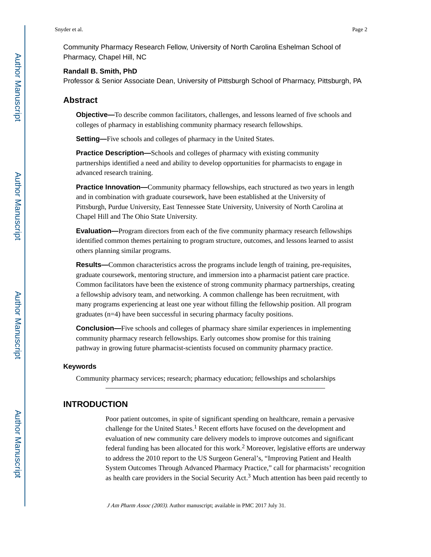Community Pharmacy Research Fellow, University of North Carolina Eshelman School of Pharmacy, Chapel Hill, NC

#### **Randall B. Smith, PhD**

Professor & Senior Associate Dean, University of Pittsburgh School of Pharmacy, Pittsburgh, PA

#### **Abstract**

**Objective—**To describe common facilitators, challenges, and lessons learned of five schools and colleges of pharmacy in establishing community pharmacy research fellowships.

**Setting—**Five schools and colleges of pharmacy in the United States.

**Practice Description—**Schools and colleges of pharmacy with existing community partnerships identified a need and ability to develop opportunities for pharmacists to engage in advanced research training.

**Practice Innovation—**Community pharmacy fellowships, each structured as two years in length and in combination with graduate coursework, have been established at the University of Pittsburgh, Purdue University, East Tennessee State University, University of North Carolina at Chapel Hill and The Ohio State University.

**Evaluation—**Program directors from each of the five community pharmacy research fellowships identified common themes pertaining to program structure, outcomes, and lessons learned to assist others planning similar programs.

**Results—**Common characteristics across the programs include length of training, pre-requisites, graduate coursework, mentoring structure, and immersion into a pharmacist patient care practice. Common facilitators have been the existence of strong community pharmacy partnerships, creating a fellowship advisory team, and networking. A common challenge has been recruitment, with many programs experiencing at least one year without filling the fellowship position. All program graduates (n=4) have been successful in securing pharmacy faculty positions.

**Conclusion—**Five schools and colleges of pharmacy share similar experiences in implementing community pharmacy research fellowships. Early outcomes show promise for this training pathway in growing future pharmacist-scientists focused on community pharmacy practice.

#### **Keywords**

Community pharmacy services; research; pharmacy education; fellowships and scholarships

#### **INTRODUCTION**

Poor patient outcomes, in spite of significant spending on healthcare, remain a pervasive challenge for the United States.<sup>1</sup> Recent efforts have focused on the development and evaluation of new community care delivery models to improve outcomes and significant federal funding has been allocated for this work.<sup>2</sup> Moreover, legislative efforts are underway to address the 2010 report to the US Surgeon General's, "Improving Patient and Health System Outcomes Through Advanced Pharmacy Practice," call for pharmacists' recognition as health care providers in the Social Security Act.<sup>3</sup> Much attention has been paid recently to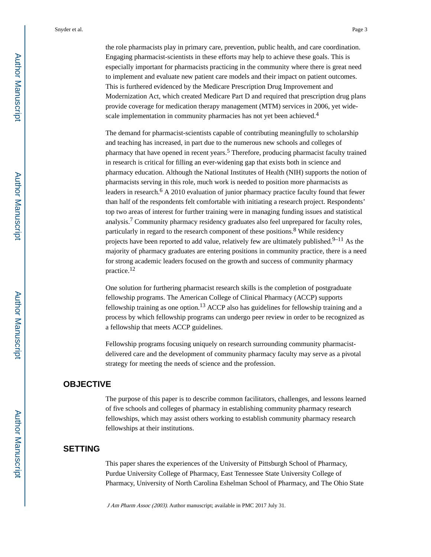the role pharmacists play in primary care, prevention, public health, and care coordination. Engaging pharmacist-scientists in these efforts may help to achieve these goals. This is especially important for pharmacists practicing in the community where there is great need to implement and evaluate new patient care models and their impact on patient outcomes. This is furthered evidenced by the Medicare Prescription Drug Improvement and Modernization Act, which created Medicare Part D and required that prescription drug plans provide coverage for medication therapy management (MTM) services in 2006, yet widescale implementation in community pharmacies has not yet been achieved.<sup>4</sup>

The demand for pharmacist-scientists capable of contributing meaningfully to scholarship and teaching has increased, in part due to the numerous new schools and colleges of pharmacy that have opened in recent years.<sup>5</sup> Therefore, producing pharmacist faculty trained in research is critical for filling an ever-widening gap that exists both in science and pharmacy education. Although the National Institutes of Health (NIH) supports the notion of pharmacists serving in this role, much work is needed to position more pharmacists as leaders in research.<sup>6</sup> A 2010 evaluation of junior pharmacy practice faculty found that fewer than half of the respondents felt comfortable with initiating a research project. Respondents' top two areas of interest for further training were in managing funding issues and statistical analysis.<sup>7</sup> Community pharmacy residency graduates also feel unprepared for faculty roles, particularly in regard to the research component of these positions.<sup>8</sup> While residency projects have been reported to add value, relatively few are ultimately published.<sup>9–11</sup> As the majority of pharmacy graduates are entering positions in community practice, there is a need for strong academic leaders focused on the growth and success of community pharmacy practice.<sup>12</sup>

One solution for furthering pharmacist research skills is the completion of postgraduate fellowship programs. The American College of Clinical Pharmacy (ACCP) supports fellowship training as one option.13 ACCP also has guidelines for fellowship training and a process by which fellowship programs can undergo peer review in order to be recognized as a fellowship that meets ACCP guidelines.

Fellowship programs focusing uniquely on research surrounding community pharmacistdelivered care and the development of community pharmacy faculty may serve as a pivotal strategy for meeting the needs of science and the profession.

#### **OBJECTIVE**

The purpose of this paper is to describe common facilitators, challenges, and lessons learned of five schools and colleges of pharmacy in establishing community pharmacy research fellowships, which may assist others working to establish community pharmacy research fellowships at their institutions.

#### **SETTING**

This paper shares the experiences of the University of Pittsburgh School of Pharmacy, Purdue University College of Pharmacy, East Tennessee State University College of Pharmacy, University of North Carolina Eshelman School of Pharmacy, and The Ohio State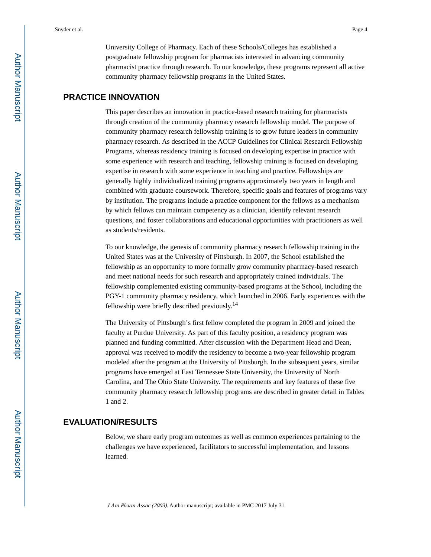University College of Pharmacy. Each of these Schools/Colleges has established a postgraduate fellowship program for pharmacists interested in advancing community pharmacist practice through research. To our knowledge, these programs represent all active community pharmacy fellowship programs in the United States.

#### **PRACTICE INNOVATION**

This paper describes an innovation in practice-based research training for pharmacists through creation of the community pharmacy research fellowship model. The purpose of community pharmacy research fellowship training is to grow future leaders in community pharmacy research. As described in the ACCP Guidelines for Clinical Research Fellowship Programs, whereas residency training is focused on developing expertise in practice with some experience with research and teaching, fellowship training is focused on developing expertise in research with some experience in teaching and practice. Fellowships are generally highly individualized training programs approximately two years in length and combined with graduate coursework. Therefore, specific goals and features of programs vary by institution. The programs include a practice component for the fellows as a mechanism by which fellows can maintain competency as a clinician, identify relevant research questions, and foster collaborations and educational opportunities with practitioners as well as students/residents.

To our knowledge, the genesis of community pharmacy research fellowship training in the United States was at the University of Pittsburgh. In 2007, the School established the fellowship as an opportunity to more formally grow community pharmacy-based research and meet national needs for such research and appropriately trained individuals. The fellowship complemented existing community-based programs at the School, including the PGY-1 community pharmacy residency, which launched in 2006. Early experiences with the fellowship were briefly described previously.<sup>14</sup>

The University of Pittsburgh's first fellow completed the program in 2009 and joined the faculty at Purdue University. As part of this faculty position, a residency program was planned and funding committed. After discussion with the Department Head and Dean, approval was received to modify the residency to become a two-year fellowship program modeled after the program at the University of Pittsburgh. In the subsequent years, similar programs have emerged at East Tennessee State University, the University of North Carolina, and The Ohio State University. The requirements and key features of these five community pharmacy research fellowship programs are described in greater detail in Tables 1 and 2.

#### **EVALUATION/RESULTS**

Below, we share early program outcomes as well as common experiences pertaining to the challenges we have experienced, facilitators to successful implementation, and lessons learned.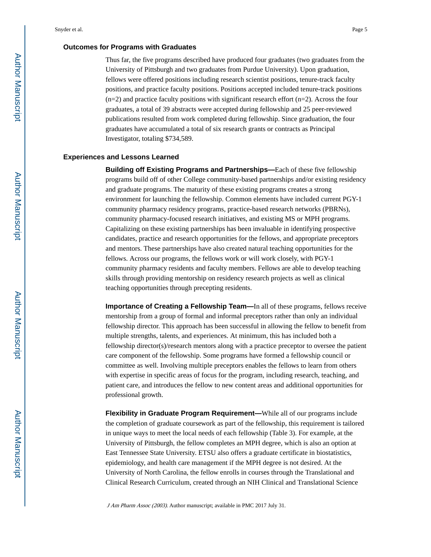#### **Outcomes for Programs with Graduates**

Thus far, the five programs described have produced four graduates (two graduates from the University of Pittsburgh and two graduates from Purdue University). Upon graduation, fellows were offered positions including research scientist positions, tenure-track faculty positions, and practice faculty positions. Positions accepted included tenure-track positions  $(n=2)$  and practice faculty positions with significant research effort  $(n=2)$ . Across the four graduates, a total of 39 abstracts were accepted during fellowship and 25 peer-reviewed publications resulted from work completed during fellowship. Since graduation, the four graduates have accumulated a total of six research grants or contracts as Principal Investigator, totaling \$734,589.

#### **Experiences and Lessons Learned**

**Building off Existing Programs and Partnerships—**Each of these five fellowship programs build off of other College community-based partnerships and/or existing residency and graduate programs. The maturity of these existing programs creates a strong environment for launching the fellowship. Common elements have included current PGY-1 community pharmacy residency programs, practice-based research networks (PBRNs), community pharmacy-focused research initiatives, and existing MS or MPH programs. Capitalizing on these existing partnerships has been invaluable in identifying prospective candidates, practice and research opportunities for the fellows, and appropriate preceptors and mentors. These partnerships have also created natural teaching opportunities for the fellows. Across our programs, the fellows work or will work closely, with PGY-1 community pharmacy residents and faculty members. Fellows are able to develop teaching skills through providing mentorship on residency research projects as well as clinical teaching opportunities through precepting residents.

**Importance of Creating a Fellowship Team—**In all of these programs, fellows receive mentorship from a group of formal and informal preceptors rather than only an individual fellowship director. This approach has been successful in allowing the fellow to benefit from multiple strengths, talents, and experiences. At minimum, this has included both a fellowship director(s)/research mentors along with a practice preceptor to oversee the patient care component of the fellowship. Some programs have formed a fellowship council or committee as well. Involving multiple preceptors enables the fellows to learn from others with expertise in specific areas of focus for the program, including research, teaching, and patient care, and introduces the fellow to new content areas and additional opportunities for professional growth.

**Flexibility in Graduate Program Requirement—**While all of our programs include the completion of graduate coursework as part of the fellowship, this requirement is tailored in unique ways to meet the local needs of each fellowship (Table 3). For example, at the University of Pittsburgh, the fellow completes an MPH degree, which is also an option at East Tennessee State University. ETSU also offers a graduate certificate in biostatistics, epidemiology, and health care management if the MPH degree is not desired. At the University of North Carolina, the fellow enrolls in courses through the Translational and Clinical Research Curriculum, created through an NIH Clinical and Translational Science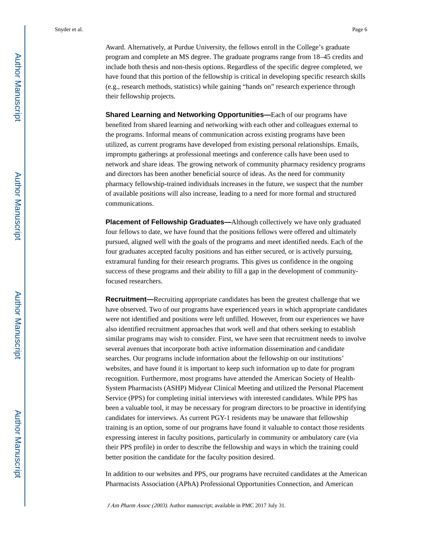Award. Alternatively, at Purdue University, the fellows enroll in the College's graduate program and complete an MS degree. The graduate programs range from 18–45 credits and include both thesis and non-thesis options. Regardless of the specific degree completed, we have found that this portion of the fellowship is critical in developing specific research skills (e.g., research methods, statistics) while gaining "hands on" research experience through their fellowship projects.

**Shared Learning and Networking Opportunities—**Each of our programs have benefited from shared learning and networking with each other and colleagues external to the programs. Informal means of communication across existing programs have been utilized, as current programs have developed from existing personal relationships. Emails, impromptu gatherings at professional meetings and conference calls have been used to network and share ideas. The growing network of community pharmacy residency programs and directors has been another beneficial source of ideas. As the need for community pharmacy fellowship-trained individuals increases in the future, we suspect that the number of available positions will also increase, leading to a need for more formal and structured communications.

**Placement of Fellowship Graduates—**Although collectively we have only graduated four fellows to date, we have found that the positions fellows were offered and ultimately pursued, aligned well with the goals of the programs and meet identified needs. Each of the four graduates accepted faculty positions and has either secured, or is actively pursuing, extramural funding for their research programs. This gives us confidence in the ongoing success of these programs and their ability to fill a gap in the development of communityfocused researchers.

**Recruitment—**Recruiting appropriate candidates has been the greatest challenge that we have observed. Two of our programs have experienced years in which appropriate candidates were not identified and positions were left unfilled. However, from our experiences we have also identified recruitment approaches that work well and that others seeking to establish similar programs may wish to consider. First, we have seen that recruitment needs to involve several avenues that incorporate both active information dissemination and candidate searches. Our programs include information about the fellowship on our institutions' websites, and have found it is important to keep such information up to date for program recognition. Furthermore, most programs have attended the American Society of Health-System Pharmacists (ASHP) Midyear Clinical Meeting and utilized the Personal Placement Service (PPS) for completing initial interviews with interested candidates. While PPS has been a valuable tool, it may be necessary for program directors to be proactive in identifying candidates for interviews. As current PGY-1 residents may be unaware that fellowship training is an option, some of our programs have found it valuable to contact those residents expressing interest in faculty positions, particularly in community or ambulatory care (via their PPS profile) in order to describe the fellowship and ways in which the training could better position the candidate for the faculty position desired.

In addition to our websites and PPS, our programs have recruited candidates at the American Pharmacists Association (APhA) Professional Opportunities Connection, and American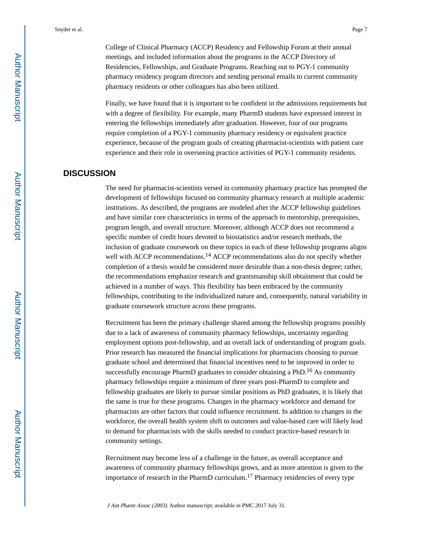College of Clinical Pharmacy (ACCP) Residency and Fellowship Forum at their annual meetings, and included information about the programs in the ACCP Directory of Residencies, Fellowships, and Graduate Programs. Reaching out to PGY-1 community pharmacy residency program directors and sending personal emails to current community pharmacy residents or other colleagues has also been utilized.

Finally, we have found that it is important to be confident in the admissions requirements but with a degree of flexibility. For example, many PharmD students have expressed interest in entering the fellowships immediately after graduation. However, four of our programs require completion of a PGY-1 community pharmacy residency or equivalent practice experience, because of the program goals of creating pharmacist-scientists with patient care experience and their role in overseeing practice activities of PGY-1 community residents.

#### **DISCUSSION**

The need for pharmacist-scientists versed in community pharmacy practice has prompted the development of fellowships focused on community pharmacy research at multiple academic institutions. As described, the programs are modeled after the ACCP fellowship guidelines and have similar core characteristics in terms of the approach to mentorship, prerequisites, program length, and overall structure. Moreover, although ACCP does not recommend a specific number of credit hours devoted to biostatistics and/or research methods, the inclusion of graduate coursework on these topics in each of these fellowship programs aligns well with ACCP recommendations.<sup>14</sup> ACCP recommendations also do not specify whether completion of a thesis would be considered more desirable than a non-thesis degree; rather, the recommendations emphasize research and grantsmanship skill obtainment that could be achieved in a number of ways. This flexibility has been embraced by the community fellowships, contributing to the individualized nature and, consequently, natural variability in graduate coursework structure across these programs.

Recruitment has been the primary challenge shared among the fellowship programs possibly due to a lack of awareness of community pharmacy fellowships, uncertainty regarding employment options post-fellowship, and an overall lack of understanding of program goals. Prior research has measured the financial implications for pharmacists choosing to pursue graduate school and determined that financial incentives need to be improved in order to successfully encourage PharmD graduates to consider obtaining a PhD.<sup>16</sup> As community pharmacy fellowships require a minimum of three years post-PharmD to complete and fellowship graduates are likely to pursue similar positions as PhD graduates, it is likely that the same is true for these programs. Changes in the pharmacy workforce and demand for pharmacists are other factors that could influence recruitment. In addition to changes in the workforce, the overall health system shift to outcomes and value-based care will likely lead to demand for pharmacists with the skills needed to conduct practice-based research in community settings.

Recruitment may become less of a challenge in the future, as overall acceptance and awareness of community pharmacy fellowships grows, and as more attention is given to the importance of research in the PharmD curriculum.17 Pharmacy residencies of every type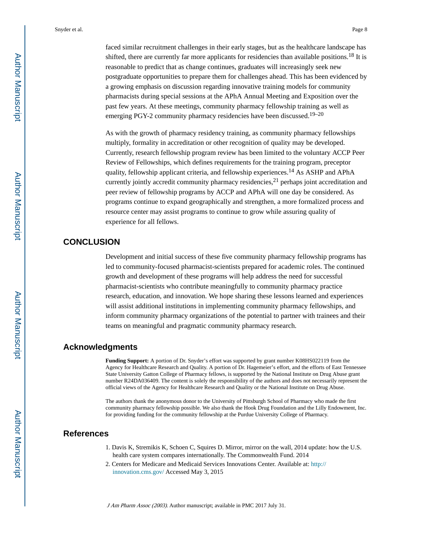faced similar recruitment challenges in their early stages, but as the healthcare landscape has shifted, there are currently far more applicants for residencies than available positions.<sup>18</sup> It is reasonable to predict that as change continues, graduates will increasingly seek new postgraduate opportunities to prepare them for challenges ahead. This has been evidenced by a growing emphasis on discussion regarding innovative training models for community pharmacists during special sessions at the APhA Annual Meeting and Exposition over the past few years. At these meetings, community pharmacy fellowship training as well as emerging PGY-2 community pharmacy residencies have been discussed.<sup>19-20</sup>

As with the growth of pharmacy residency training, as community pharmacy fellowships multiply, formality in accreditation or other recognition of quality may be developed. Currently, research fellowship program review has been limited to the voluntary ACCP Peer Review of Fellowships, which defines requirements for the training program, preceptor quality, fellowship applicant criteria, and fellowship experiences.14 As ASHP and APhA currently jointly accredit community pharmacy residencies,  $2<sup>1</sup>$  perhaps joint accreditation and peer review of fellowship programs by ACCP and APhA will one day be considered. As programs continue to expand geographically and strengthen, a more formalized process and resource center may assist programs to continue to grow while assuring quality of experience for all fellows.

#### **CONCLUSION**

Development and initial success of these five community pharmacy fellowship programs has led to community-focused pharmacist-scientists prepared for academic roles. The continued growth and development of these programs will help address the need for successful pharmacist-scientists who contribute meaningfully to community pharmacy practice research, education, and innovation. We hope sharing these lessons learned and experiences will assist additional institutions in implementing community pharmacy fellowships, and inform community pharmacy organizations of the potential to partner with trainees and their teams on meaningful and pragmatic community pharmacy research.

#### **Acknowledgments**

**Funding Support:** A portion of Dr. Snyder's effort was supported by grant number K08HS022119 from the Agency for Healthcare Research and Quality. A portion of Dr. Hagemeier's effort, and the efforts of East Tennessee State University Gatton College of Pharmacy fellows, is supported by the National Institute on Drug Abuse grant number R24DA036409. The content is solely the responsibility of the authors and does not necessarily represent the official views of the Agency for Healthcare Research and Quality or the National Institute on Drug Abuse.

The authors thank the anonymous donor to the University of Pittsburgh School of Pharmacy who made the first community pharmacy fellowship possible. We also thank the Hook Drug Foundation and the Lilly Endowment, Inc. for providing funding for the community fellowship at the Purdue University College of Pharmacy.

#### **References**

- 1. Davis K, Stremikis K, Schoen C, Squires D. Mirror, mirror on the wall, 2014 update: how the U.S. health care system compares internationally. The Commonwealth Fund. 2014
- 2. Centers for Medicare and Medicaid Services Innovations Center. Available at: [http://](http://innovation.cms.gov/) [innovation.cms.gov/](http://innovation.cms.gov/) Accessed May 3, 2015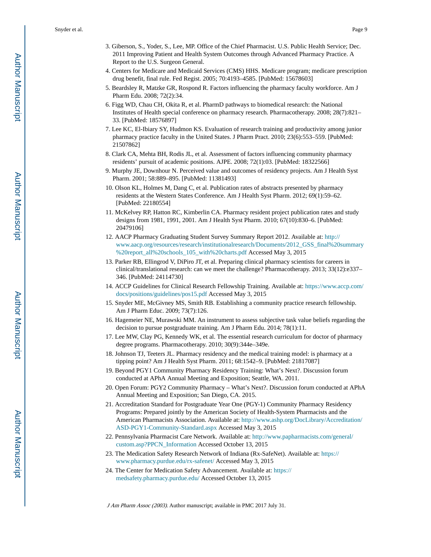- 3. Giberson, S., Yoder, S., Lee, MP. Office of the Chief Pharmacist. U.S. Public Health Service; Dec. 2011 Improving Patient and Health System Outcomes through Advanced Pharmacy Practice. A Report to the U.S. Surgeon General.
- 4. Centers for Medicare and Medicaid Services (CMS) HHS. Medicare program; medicare prescription drug benefit, final rule. Fed Regist. 2005; 70:4193–4585. [PubMed: 15678603]
- 5. Beardsley R, Matzke GR, Rospond R. Factors influencing the pharmacy faculty workforce. Am J Pharm Edu. 2008; 72(2):34.
- 6. Figg WD, Chau CH, Okita R, et al. PharmD pathways to biomedical research: the National Institutes of Health special conference on pharmacy research. Pharmacotherapy. 2008; 28(7):821– 33. [PubMed: 18576897]
- 7. Lee KC, El-Ibiary SY, Hudmon KS. Evaluation of research training and productivity among junior pharmacy practice faculty in the United States. J Pharm Pract. 2010; 23(6):553–559. [PubMed: 21507862]
- 8. Clark CA, Mehta BH, Rodis JL, et al. Assessment of factors influencing community pharmacy residents' pursuit of academic positions. AJPE. 2008; 72(1):03. [PubMed: 18322566]
- 9. Murphy JE, Downhour N. Perceived value and outcomes of residency projects. Am J Health Syst Pharm. 2001; 58:889–895. [PubMed: 11381493]
- 10. Olson KL, Holmes M, Dang C, et al. Publication rates of abstracts presented by pharmacy residents at the Western States Conference. Am J Health Syst Pharm. 2012; 69(1):59–62. [PubMed: 22180554]
- 11. McKelvey RP, Hatton RC, Kimberlin CA. Pharmacy resident project publication rates and study designs from 1981, 1991, 2001. Am J Health Syst Pharm. 2010; 67(10):830–6. [PubMed: 20479106]
- 12. AACP Pharmacy Graduating Student Survey Summary Report 2012. Available at: [http://](http://www.aacp.org/resources/research/institutionalresearch/Documents/2012_GSS_final%20summary%20report_all%20schools_105_with%20charts.pdf) [www.aacp.org/resources/research/institutionalresearch/Documents/2012\\_GSS\\_final%20summary](http://www.aacp.org/resources/research/institutionalresearch/Documents/2012_GSS_final%20summary%20report_all%20schools_105_with%20charts.pdf) [%20report\\_all%20schools\\_105\\_with%20charts.pdf](http://www.aacp.org/resources/research/institutionalresearch/Documents/2012_GSS_final%20summary%20report_all%20schools_105_with%20charts.pdf) Accessed May 3, 2015
- 13. Parker RB, Ellingrod V, DiPiro JT, et al. Preparing clinical pharmacy scientists for careers in clinical/translational research: can we meet the challenge? Pharmacotherapy. 2013; 33(12):e337– 346. [PubMed: 24114730]
- 14. ACCP Guidelines for Clinical Research Fellowship Training. Available at: [https://www.accp.com/](https://www.accp.com/docs/positions/guidelines/pos15.pdf) [docs/positions/guidelines/pos15.pdf](https://www.accp.com/docs/positions/guidelines/pos15.pdf) Accessed May 3, 2015
- 15. Snyder ME, McGivney MS, Smith RB. Establishing a community practice research fellowship. Am J Pharm Educ. 2009; 73(7):126.
- 16. Hagemeier NE, Murawski MM. An instrument to assess subjective task value beliefs regarding the decision to pursue postgraduate training. Am J Pharm Edu. 2014; 78(1):11.
- 17. Lee MW, Clay PG, Kennedy WK, et al. The essential research curriculum for doctor of pharmacy degree programs. Pharmacotherapy. 2010; 30(9):344e–349e.
- 18. Johnson TJ, Teeters JL. Pharmacy residency and the medical training model: is pharmacy at a tipping point? Am J Health Syst Pharm. 2011; 68:1542–9. [PubMed: 21817087]
- 19. Beyond PGY1 Community Pharmacy Residency Training: What's Next?. Discussion forum conducted at APhA Annual Meeting and Exposition; Seattle, WA. 2011.
- 20. Open Forum: PGY2 Community Pharmacy What's Next?. Discussion forum conducted at APhA Annual Meeting and Exposition; San Diego, CA. 2015.
- 21. Accreditation Standard for Postgraduate Year One (PGY-1) Community Pharmacy Residency Programs: Prepared jointly by the American Society of Health-System Pharmacists and the American Pharmacists Association. Available at: [http://www.ashp.org/DocLibrary/Accreditation/](http://www.ashp.org/DocLibrary/Accreditation/ASD-PGY1-Community-Standard.aspx) [ASD-PGY1-Community-Standard.aspx](http://www.ashp.org/DocLibrary/Accreditation/ASD-PGY1-Community-Standard.aspx) Accessed May 3, 2015
- 22. Pennsylvania Pharmacist Care Network. Available at: [http://www.papharmacists.com/general/](http://www.papharmacists.com/general/custom.asp?PPCN_Information) [custom.asp?PPCN\\_Information](http://www.papharmacists.com/general/custom.asp?PPCN_Information) Accessed October 13, 2015
- 23. The Medication Safety Research Network of Indiana (Rx-SafeNet). Available at: [https://](https://www.pharmacy.purdue.edu/rx-safenet/) [www.pharmacy.purdue.edu/rx-safenet/](https://www.pharmacy.purdue.edu/rx-safenet/) Accessed May 3, 2015
- 24. The Center for Medication Safety Advancement. Available at: [https://](https://medsafety.pharmacy.purdue.edu/) [medsafety.pharmacy.purdue.edu/](https://medsafety.pharmacy.purdue.edu/) Accessed October 13, 2015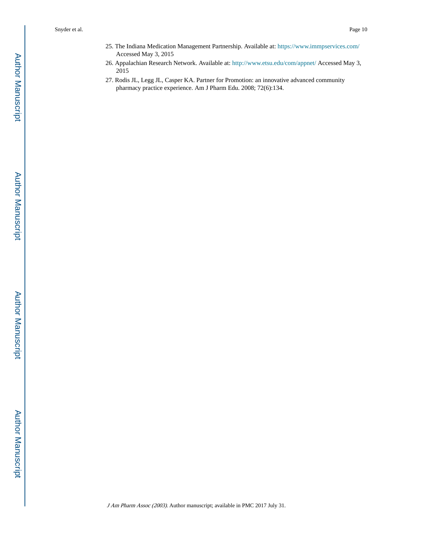- 25. The Indiana Medication Management Partnership. Available at:<https://www.immpservices.com/> Accessed May 3, 2015
- 26. Appalachian Research Network. Available at: <http://www.etsu.edu/com/appnet/> Accessed May 3, 2015
- 27. Rodis JL, Legg JL, Casper KA. Partner for Promotion: an innovative advanced community pharmacy practice experience. Am J Pharm Edu. 2008; 72(6):134.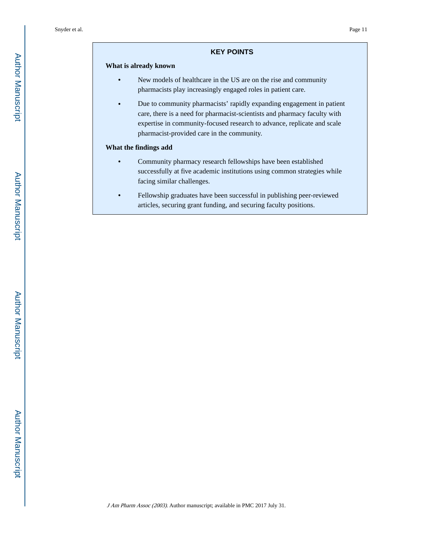#### **KEY POINTS**

#### **What is already known**

- **•** New models of healthcare in the US are on the rise and community pharmacists play increasingly engaged roles in patient care.
- **•** Due to community pharmacists' rapidly expanding engagement in patient care, there is a need for pharmacist-scientists and pharmacy faculty with expertise in community-focused research to advance, replicate and scale pharmacist-provided care in the community.

#### **What the findings add**

- **•** Community pharmacy research fellowships have been established successfully at five academic institutions using common strategies while facing similar challenges.
- **•** Fellowship graduates have been successful in publishing peer-reviewed articles, securing grant funding, and securing faculty positions.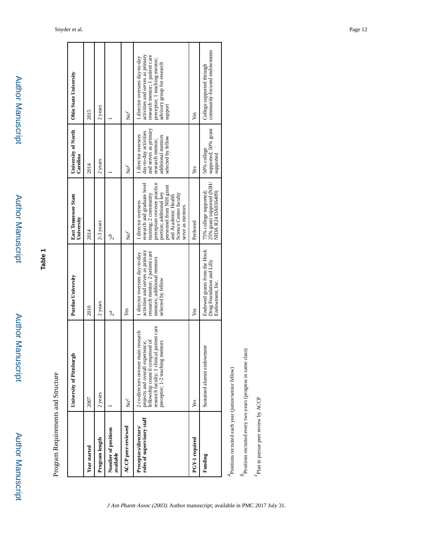**Table 1**

Program Requirements and Structure Program Requirements and Structure

|                                                     | University of Pittsburg                                                                                                                                                                        | Purdue University                                                                                                                                          | East Tennessee State<br>University                                                                                                                                                                                                     | University of North<br>Carolina                                                                                                     | Ohio State University                                                                                                                                                            |
|-----------------------------------------------------|------------------------------------------------------------------------------------------------------------------------------------------------------------------------------------------------|------------------------------------------------------------------------------------------------------------------------------------------------------------|----------------------------------------------------------------------------------------------------------------------------------------------------------------------------------------------------------------------------------------|-------------------------------------------------------------------------------------------------------------------------------------|----------------------------------------------------------------------------------------------------------------------------------------------------------------------------------|
| Year started                                        | 2007                                                                                                                                                                                           | 2010                                                                                                                                                       | 2014                                                                                                                                                                                                                                   | 2014                                                                                                                                | 2015                                                                                                                                                                             |
| Program length                                      | 2 years                                                                                                                                                                                        | 2 years                                                                                                                                                    | 2-3 years                                                                                                                                                                                                                              | 2 years                                                                                                                             | 2 years                                                                                                                                                                          |
| Number of positions<br>available                    |                                                                                                                                                                                                | 2 <sup>a</sup>                                                                                                                                             | q <sub>2</sub>                                                                                                                                                                                                                         |                                                                                                                                     |                                                                                                                                                                                  |
| <b>ACCP</b> peer-reviewed                           | $No^{\mathcal{C}}$                                                                                                                                                                             | Yes                                                                                                                                                        | $N_0{}^C$                                                                                                                                                                                                                              | $\mathsf{No}^\mathcal{C}$                                                                                                           | $N_0{}^C$                                                                                                                                                                        |
| roles of supervisory staff<br>Preceptors/directors/ | fellowship council comprised of<br>research faculty; 1 clinical patient care<br>2 co-directors oversee main research<br>projects and overall experience;<br>mentors<br>preceptor; 1-2 teaching | activities and serves as primary<br>research mentor; 2 patient care<br>1 director oversees day-to-day<br>mentors; additional mentors<br>selected by fellow | preceptors oversee practice<br>portion; additional key<br>personnel from NIH grant<br>research and graduate level<br>and Academic Health<br>Science Center faculty<br>training; 2 community<br>1 director oversees<br>serve as mentors | and serves as primary<br>day-to-day activities<br>director oversees<br>additional mentors<br>selected by fellow<br>research mentor; | activities and serves as primary<br>research mentor; 1 patient care<br>1 director oversees day-to-day<br>preceptor; 1 teaching mentor;<br>advisory group for research<br>support |
| PGY-1 required                                      | Yes                                                                                                                                                                                            | Yes                                                                                                                                                        | Preferred                                                                                                                                                                                                                              | Yes                                                                                                                                 | Yes                                                                                                                                                                              |
| Funding                                             | Sustained alumni endowment                                                                                                                                                                     | Endowed grants from the Hook<br>Drug Foundation and Lilly<br>Endowment, Inc.                                                                               | 75% college supported;<br>25% grant supported (NIH/<br>NIDA R24 DA036409)                                                                                                                                                              | supported; 50% grant<br>50% college<br>supported                                                                                    | community-focused endowments<br>College supported through                                                                                                                        |
| ocitions requited each wear (innicrisanior fellow)  |                                                                                                                                                                                                |                                                                                                                                                            |                                                                                                                                                                                                                                        |                                                                                                                                     |                                                                                                                                                                                  |

/semor fellow) Positions recruited each year (junior/senior fellow) recruited each year (junior a

J Am Pharm Assoc (2003). Author manuscript; available in PMC 2017 July 31.

 $b_{\rm Dositions}$  recruited every two years (progress in same class) Positions recruited every two years (progress in same class)

 $c_{\mbox{\footnotesize{Plan}}}$  to pursue peer review by ACCP Plan to pursue peer review by ACCP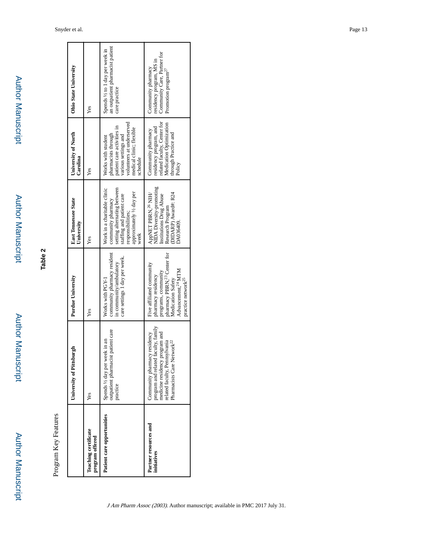| i<br>į      |
|-------------|
| i<br>ī      |
| į<br>j<br>į |
| ï           |

# **Table 2**

Program Key Features Program Key Features

|                                                | urgh<br>University of Pittsby                                                                                                                                                    | <b>Purdue University</b>                                                                                                                                                                                   | <b>East Tennessee State</b><br>University                                                                                                                               | University of North<br>Carolina                                                                                                                                      | <b>Ohio State University</b>                                                                                     |
|------------------------------------------------|----------------------------------------------------------------------------------------------------------------------------------------------------------------------------------|------------------------------------------------------------------------------------------------------------------------------------------------------------------------------------------------------------|-------------------------------------------------------------------------------------------------------------------------------------------------------------------------|----------------------------------------------------------------------------------------------------------------------------------------------------------------------|------------------------------------------------------------------------------------------------------------------|
| <b>Teaching certificate</b><br>program offered | Yes                                                                                                                                                                              | Yes                                                                                                                                                                                                        | Yes                                                                                                                                                                     | Yes                                                                                                                                                                  | Yes                                                                                                              |
| Patient care opportunities                     | outpatient pharmacist patient care<br>Spends 1/2 day per week in an<br>practice                                                                                                  | community pharmacy resident<br>care settings 1 day per week.<br>in community/ambulatory<br>Works with PGY-1                                                                                                | setting alternating between<br>Work in a charitable clinic<br>approximately 1/2 day per<br>staffing and patient care<br>community pharmacy<br>responsibilities;<br>week | volunteers at underserved<br>patient care activities in<br>medical clinic; flexible<br>pharmacists through<br>various settings and<br>Works with student<br>schedule | an outpatient pharmacist patient<br>Spends 1/2 to 1 day per week in<br>care practice                             |
| Partner resources and<br>initiatives           | program and related faculty, family<br>medicine residency program and<br>Community pharmacy residency<br>related faculty, Pennsylvania<br>Pharmacists Care Network <sup>22</sup> | pharmacy PBRN, <sup>23</sup> Center for<br>Five affiliated community<br>Advancement, <sup>24</sup> MTM<br>programs, community<br>pharmacy residency<br>practice network <sup>25</sup><br>Medication Safety | NIDA Diversity-promoting<br>DIDARP) Award#: R24<br>AppNET PBRN, <sup>26</sup> NIH/<br>Institutions Drug Abuse<br>Research Program<br>DA036409.                          | related faculty, Center for<br>Medication Optimization<br>residency program, and<br>Community pharmacy<br>through Practice and<br>Policy                             | Community Care, Partner for<br>residency program, MS in<br>Community pharmacy<br>Promotion program <sup>21</sup> |